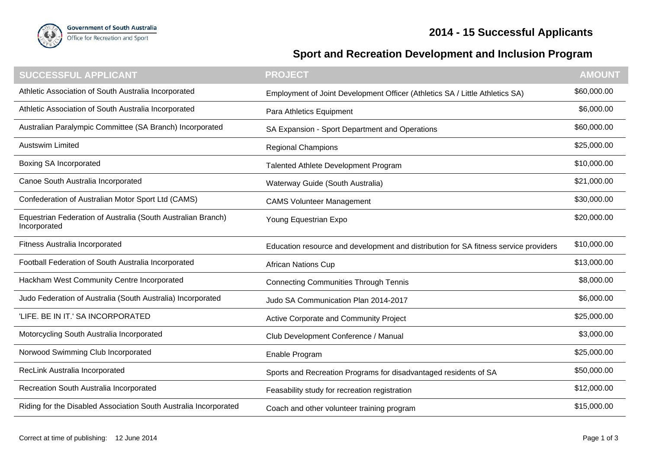



## **Sport and Recreation Development and Inclusion Program**

| <b>SUCCESSFUL APPLICANT</b>                                                  | <b>PROJECT</b>                                                                       | <b>AMOUNT</b> |
|------------------------------------------------------------------------------|--------------------------------------------------------------------------------------|---------------|
| Athletic Association of South Australia Incorporated                         | Employment of Joint Development Officer (Athletics SA / Little Athletics SA)         | \$60,000.00   |
| Athletic Association of South Australia Incorporated                         | Para Athletics Equipment                                                             | \$6,000.00    |
| Australian Paralympic Committee (SA Branch) Incorporated                     | SA Expansion - Sport Department and Operations                                       | \$60,000.00   |
| <b>Austswim Limited</b>                                                      | <b>Regional Champions</b>                                                            | \$25,000.00   |
| <b>Boxing SA Incorporated</b>                                                | Talented Athlete Development Program                                                 | \$10,000.00   |
| Canoe South Australia Incorporated                                           | Waterway Guide (South Australia)                                                     | \$21,000.00   |
| Confederation of Australian Motor Sport Ltd (CAMS)                           | <b>CAMS Volunteer Management</b>                                                     | \$30,000.00   |
| Equestrian Federation of Australia (South Australian Branch)<br>Incorporated | Young Equestrian Expo                                                                | \$20,000.00   |
| Fitness Australia Incorporated                                               | Education resource and development and distribution for SA fitness service providers | \$10,000.00   |
| Football Federation of South Australia Incorporated                          | <b>African Nations Cup</b>                                                           | \$13,000.00   |
| Hackham West Community Centre Incorporated                                   | <b>Connecting Communities Through Tennis</b>                                         | \$8,000.00    |
| Judo Federation of Australia (South Australia) Incorporated                  | Judo SA Communication Plan 2014-2017                                                 | \$6,000.00    |
| 'LIFE. BE IN IT.' SA INCORPORATED                                            | Active Corporate and Community Project                                               | \$25,000.00   |
| Motorcycling South Australia Incorporated                                    | Club Development Conference / Manual                                                 | \$3,000.00    |
| Norwood Swimming Club Incorporated                                           | Enable Program                                                                       | \$25,000.00   |
| RecLink Australia Incorporated                                               | Sports and Recreation Programs for disadvantaged residents of SA                     | \$50,000.00   |
| Recreation South Australia Incorporated                                      | Feasability study for recreation registration                                        | \$12,000.00   |
| Riding for the Disabled Association South Australia Incorporated             | Coach and other volunteer training program                                           | \$15,000.00   |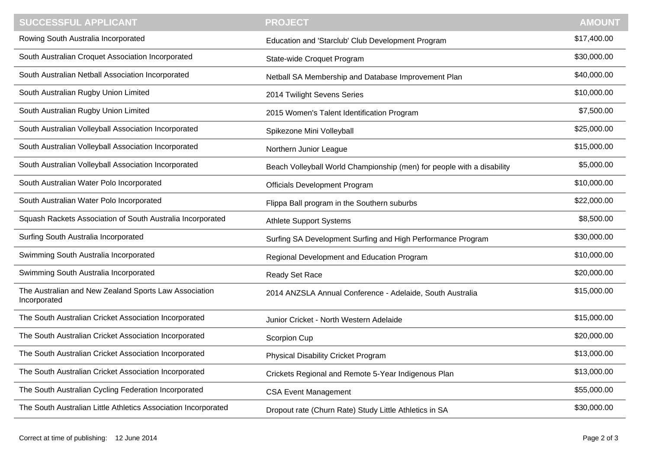| SUCCESSFUL APPLICANT                                                  | <b>PROJECT</b>                                                         | <b>AMOUNT</b> |
|-----------------------------------------------------------------------|------------------------------------------------------------------------|---------------|
| Rowing South Australia Incorporated                                   | Education and 'Starclub' Club Development Program                      | \$17,400.00   |
| South Australian Croquet Association Incorporated                     | State-wide Croquet Program                                             | \$30,000.00   |
| South Australian Netball Association Incorporated                     | Netball SA Membership and Database Improvement Plan                    | \$40,000.00   |
| South Australian Rugby Union Limited                                  | 2014 Twilight Sevens Series                                            | \$10,000.00   |
| South Australian Rugby Union Limited                                  | 2015 Women's Talent Identification Program                             | \$7,500.00    |
| South Australian Volleyball Association Incorporated                  | Spikezone Mini Volleyball                                              | \$25,000.00   |
| South Australian Volleyball Association Incorporated                  | Northern Junior League                                                 | \$15,000.00   |
| South Australian Volleyball Association Incorporated                  | Beach Volleyball World Championship (men) for people with a disability | \$5,000.00    |
| South Australian Water Polo Incorporated                              | Officials Development Program                                          | \$10,000.00   |
| South Australian Water Polo Incorporated                              | Flippa Ball program in the Southern suburbs                            | \$22,000.00   |
| Squash Rackets Association of South Australia Incorporated            | <b>Athlete Support Systems</b>                                         | \$8,500.00    |
| Surfing South Australia Incorporated                                  | Surfing SA Development Surfing and High Performance Program            | \$30,000.00   |
| Swimming South Australia Incorporated                                 | Regional Development and Education Program                             | \$10,000.00   |
| Swimming South Australia Incorporated                                 | Ready Set Race                                                         | \$20,000.00   |
| The Australian and New Zealand Sports Law Association<br>Incorporated | 2014 ANZSLA Annual Conference - Adelaide, South Australia              | \$15,000.00   |
| The South Australian Cricket Association Incorporated                 | Junior Cricket - North Western Adelaide                                | \$15,000.00   |
| The South Australian Cricket Association Incorporated                 | Scorpion Cup                                                           | \$20,000.00   |
| The South Australian Cricket Association Incorporated                 | Physical Disability Cricket Program                                    | \$13,000.00   |
| The South Australian Cricket Association Incorporated                 | Crickets Regional and Remote 5-Year Indigenous Plan                    | \$13,000.00   |
| The South Australian Cycling Federation Incorporated                  | <b>CSA Event Management</b>                                            | \$55,000.00   |
| The South Australian Little Athletics Association Incorporated        | Dropout rate (Churn Rate) Study Little Athletics in SA                 | \$30,000.00   |